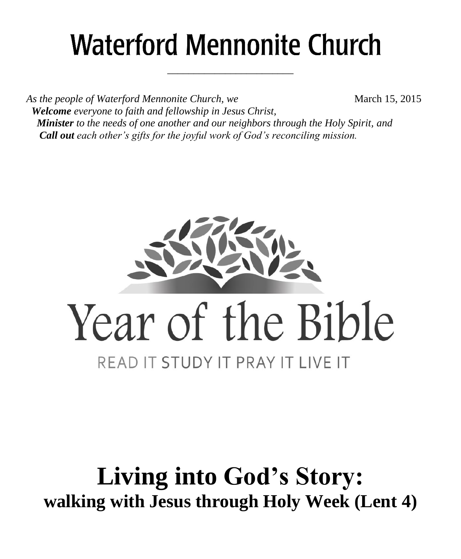# **Waterford Mennonite Church**

\_\_\_\_\_\_\_\_\_\_\_\_\_\_\_\_\_\_\_\_\_\_\_\_

*As the people of Waterford Mennonite Church, we* March 15, 2015  *Welcome everyone to faith and fellowship in Jesus Christ, Minister to the needs of one another and our neighbors through the Holy Spirit, and Call out each other's gifts for the joyful work of God's reconciling mission.*



## **Living into God's Story: walking with Jesus through Holy Week (Lent 4)**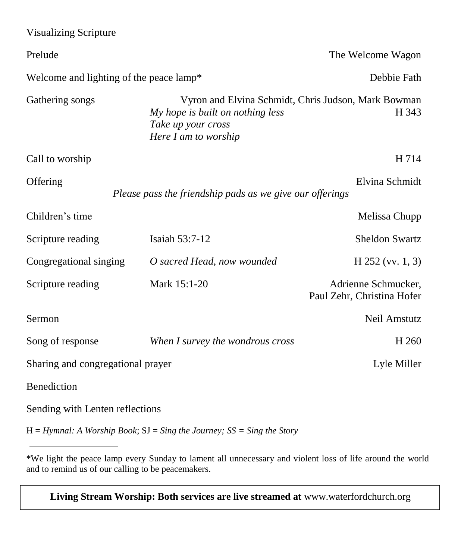| <b>Visualizing Scripture</b>            |                                                                                |                                                              |
|-----------------------------------------|--------------------------------------------------------------------------------|--------------------------------------------------------------|
| Prelude                                 |                                                                                | The Welcome Wagon                                            |
| Welcome and lighting of the peace lamp* |                                                                                | Debbie Fath                                                  |
| Gathering songs                         | My hope is built on nothing less<br>Take up your cross<br>Here I am to worship | Vyron and Elvina Schmidt, Chris Judson, Mark Bowman<br>H 343 |
| Call to worship                         |                                                                                | H 714                                                        |
| Offering                                | Please pass the friendship pads as we give our offerings                       | Elvina Schmidt                                               |
| Children's time                         |                                                                                | Melissa Chupp                                                |
| Scripture reading                       | Isaiah 53:7-12                                                                 | <b>Sheldon Swartz</b>                                        |
| Congregational singing                  | O sacred Head, now wounded                                                     | $H$ 252 (vv. 1, 3)                                           |
| Scripture reading                       | Mark 15:1-20                                                                   | Adrienne Schmucker,<br>Paul Zehr, Christina Hofer            |
| Sermon                                  |                                                                                | Neil Amstutz                                                 |
| Song of response                        | When I survey the wondrous cross                                               | H 260                                                        |
| Sharing and congregational prayer       | Lyle Miller                                                                    |                                                              |
| Benediction                             |                                                                                |                                                              |
| Sending with Lenten reflections         |                                                                                |                                                              |

H = *Hymnal: A Worship Book*; SJ = *Sing the Journey; SS = Sing the Story*

\*We light the peace lamp every Sunday to lament all unnecessary and violent loss of life around the world and to remind us of our calling to be peacemakers.

**Living Stream Worship: Both services are live streamed at** [www.waterfordchurch.org](http://www.waterfordchurch.org/)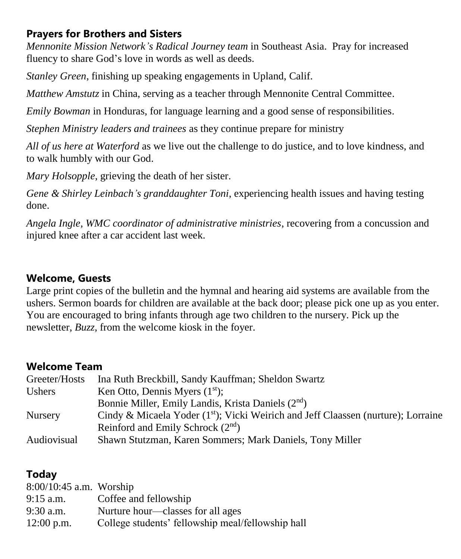#### **Prayers for Brothers and Sisters**

*Mennonite Mission Network's Radical Journey team* in Southeast Asia. Pray for increased fluency to share God's love in words as well as deeds.

*Stanley Green*, finishing up speaking engagements in Upland, Calif.

*Matthew Amstutz* in China, serving as a teacher through Mennonite Central Committee.

*Emily Bowman* in Honduras, for language learning and a good sense of responsibilities.

*Stephen Ministry leaders and trainees* as they continue prepare for ministry

*All of us here at Waterford* as we live out the challenge to do justice, and to love kindness, and to walk humbly with our God.

*Mary Holsopple*, grieving the death of her sister.

*Gene & Shirley Leinbach's granddaughter Toni*, experiencing health issues and having testing done.

*Angela Ingle, WMC coordinator of administrative ministries*, recovering from a concussion and injured knee after a car accident last week.

#### **Welcome, Guests**

Large print copies of the bulletin and the hymnal and hearing aid systems are available from the ushers. Sermon boards for children are available at the back door; please pick one up as you enter. You are encouraged to bring infants through age two children to the nursery. Pick up the newsletter, *Buzz,* from the welcome kiosk in the foyer.

#### **Welcome Team**

| Greeter/Hosts  | Ina Ruth Breckbill, Sandy Kauffman; Sheldon Swartz                                  |
|----------------|-------------------------------------------------------------------------------------|
| Ushers         | Ken Otto, Dennis Myers $(1st)$ ;                                                    |
|                | Bonnie Miller, Emily Landis, Krista Daniels (2nd)                                   |
| <b>Nursery</b> | Cindy & Micaela Yoder $(1st)$ ; Vicki Weirich and Jeff Claassen (nurture); Lorraine |
|                | Reinford and Emily Schrock $(2^{nd})$                                               |
| Audiovisual    | Shawn Stutzman, Karen Sommers; Mark Daniels, Tony Miller                            |

### **Today**

| $8:00/10:45$ a.m. Worship |                                                   |
|---------------------------|---------------------------------------------------|
| $9:15$ a.m.               | Coffee and fellowship                             |
| $9:30$ a.m.               | Nurture hour—classes for all ages                 |
| $12:00$ p.m.              | College students' fellowship meal/fellowship hall |